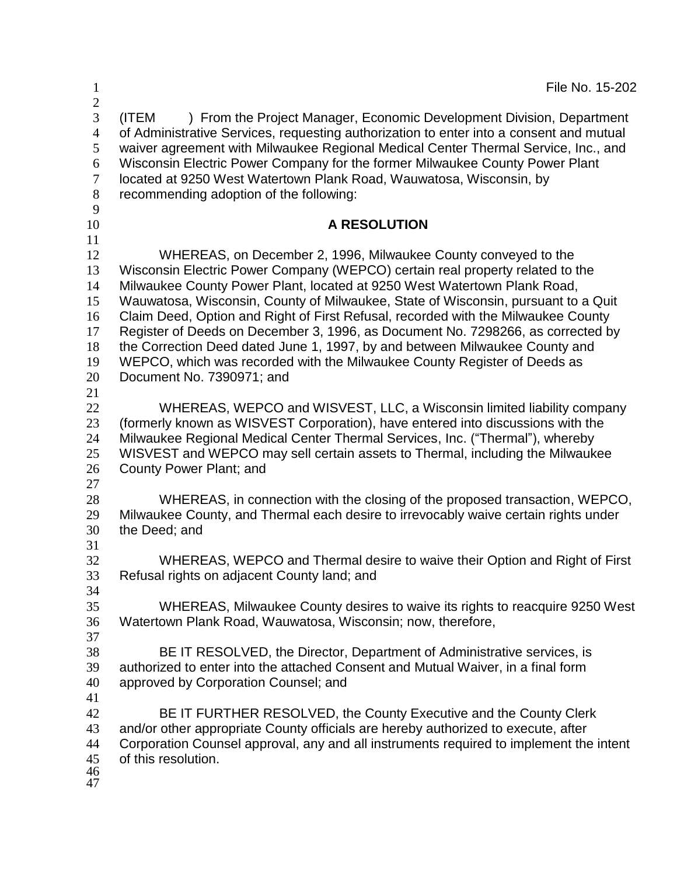| $\mathbf 1$                                                                                  | File No. 15-202                                                                                                                                                                                                                                                                                                                                                                                                                                                                                                                                                                                                                                                                  |  |
|----------------------------------------------------------------------------------------------|----------------------------------------------------------------------------------------------------------------------------------------------------------------------------------------------------------------------------------------------------------------------------------------------------------------------------------------------------------------------------------------------------------------------------------------------------------------------------------------------------------------------------------------------------------------------------------------------------------------------------------------------------------------------------------|--|
| $\overline{c}$<br>$\overline{3}$<br>$\overline{4}$<br>5<br>6<br>$\overline{7}$<br>$8\,$<br>9 | ) From the Project Manager, Economic Development Division, Department<br>(ITEM<br>of Administrative Services, requesting authorization to enter into a consent and mutual<br>waiver agreement with Milwaukee Regional Medical Center Thermal Service, Inc., and<br>Wisconsin Electric Power Company for the former Milwaukee County Power Plant<br>located at 9250 West Watertown Plank Road, Wauwatosa, Wisconsin, by<br>recommending adoption of the following:                                                                                                                                                                                                                |  |
| 10                                                                                           | <b>A RESOLUTION</b>                                                                                                                                                                                                                                                                                                                                                                                                                                                                                                                                                                                                                                                              |  |
| 11<br>12<br>13<br>14<br>15<br>16<br>17<br>18<br>19<br>20<br>21                               | WHEREAS, on December 2, 1996, Milwaukee County conveyed to the<br>Wisconsin Electric Power Company (WEPCO) certain real property related to the<br>Milwaukee County Power Plant, located at 9250 West Watertown Plank Road,<br>Wauwatosa, Wisconsin, County of Milwaukee, State of Wisconsin, pursuant to a Quit<br>Claim Deed, Option and Right of First Refusal, recorded with the Milwaukee County<br>Register of Deeds on December 3, 1996, as Document No. 7298266, as corrected by<br>the Correction Deed dated June 1, 1997, by and between Milwaukee County and<br>WEPCO, which was recorded with the Milwaukee County Register of Deeds as<br>Document No. 7390971; and |  |
| 22<br>23<br>24<br>25<br>26<br>27                                                             | WHEREAS, WEPCO and WISVEST, LLC, a Wisconsin limited liability company<br>(formerly known as WISVEST Corporation), have entered into discussions with the<br>Milwaukee Regional Medical Center Thermal Services, Inc. ("Thermal"), whereby<br>WISVEST and WEPCO may sell certain assets to Thermal, including the Milwaukee<br>County Power Plant; and                                                                                                                                                                                                                                                                                                                           |  |
| 28<br>29<br>30                                                                               | WHEREAS, in connection with the closing of the proposed transaction, WEPCO,<br>Milwaukee County, and Thermal each desire to irrevocably waive certain rights under<br>the Deed; and                                                                                                                                                                                                                                                                                                                                                                                                                                                                                              |  |
| 31<br>32<br>33<br>34                                                                         | WHEREAS, WEPCO and Thermal desire to waive their Option and Right of First<br>Refusal rights on adjacent County land; and                                                                                                                                                                                                                                                                                                                                                                                                                                                                                                                                                        |  |
| 35<br>36<br>37                                                                               | WHEREAS, Milwaukee County desires to waive its rights to reacquire 9250 West<br>Watertown Plank Road, Wauwatosa, Wisconsin; now, therefore,                                                                                                                                                                                                                                                                                                                                                                                                                                                                                                                                      |  |
| 38<br>39<br>40<br>41                                                                         | BE IT RESOLVED, the Director, Department of Administrative services, is<br>authorized to enter into the attached Consent and Mutual Waiver, in a final form<br>approved by Corporation Counsel; and                                                                                                                                                                                                                                                                                                                                                                                                                                                                              |  |
| 42<br>43<br>44<br>45<br>46<br>47                                                             | BE IT FURTHER RESOLVED, the County Executive and the County Clerk<br>and/or other appropriate County officials are hereby authorized to execute, after<br>Corporation Counsel approval, any and all instruments required to implement the intent<br>of this resolution.                                                                                                                                                                                                                                                                                                                                                                                                          |  |